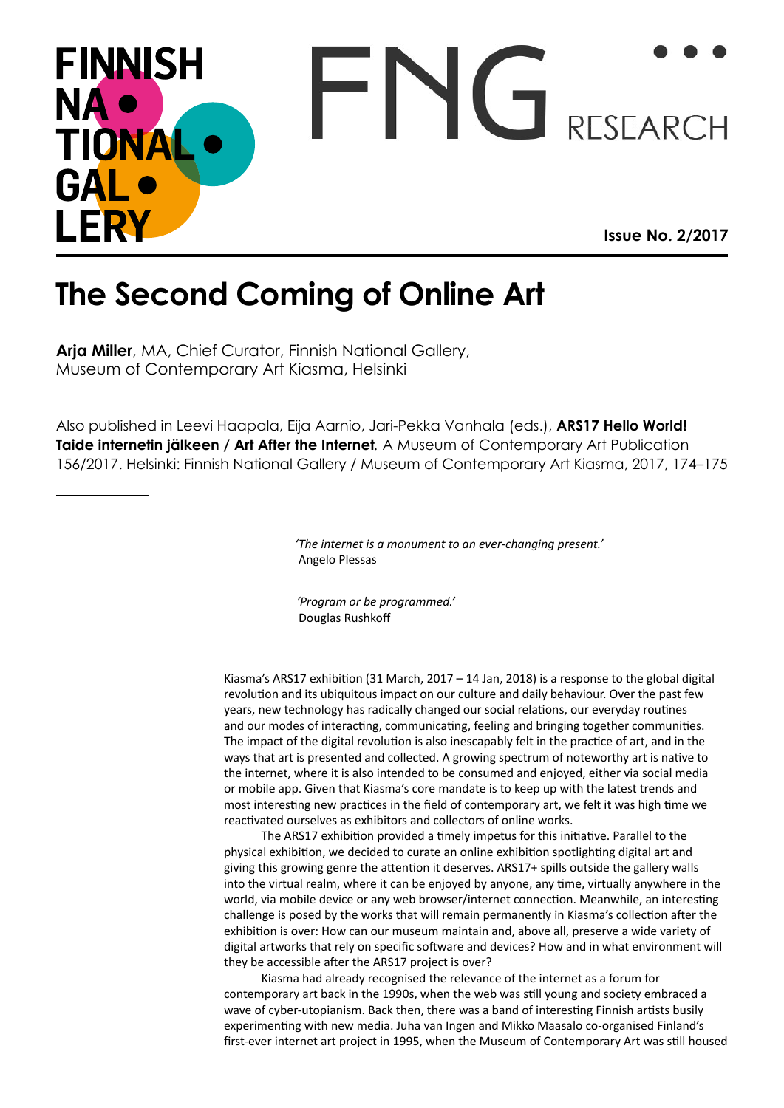## FNG RESEARCH **FINNISH NA** TIONA GAL I FRY **Issue No. 2/2017**

## **The Second Coming of Online Art**

**Arja Miller**, MA, Chief Curator, Finnish National Gallery, Museum of Contemporary Art Kiasma, Helsinki

Also published in Leevi Haapala, Eija Aarnio, Jari-Pekka Vanhala (eds.), **ARS17 Hello World! Taide internetin jälkeen / Art After the Internet***.* A Museum of Contemporary Art Publication 156/2017. Helsinki: Finnish National Gallery / Museum of Contemporary Art Kiasma, 2017, 174–175

> *'The internet is a monument to an ever-changing present.'* Angelo Plessas

 *'Program or be programmed.'* Douglas Rushkoff

Kiasma's ARS17 exhibition (31 March, 2017 – 14 Jan, 2018) is a response to the global digital revolution and its ubiquitous impact on our culture and daily behaviour. Over the past few years, new technology has radically changed our social relations, our everyday routines and our modes of interacting, communicating, feeling and bringing together communities. The impact of the digital revolution is also inescapably felt in the practice of art, and in the ways that art is presented and collected. A growing spectrum of noteworthy art is native to the internet, where it is also intended to be consumed and enjoyed, either via social media or mobile app. Given that Kiasma's core mandate is to keep up with the latest trends and most interesting new practices in the field of contemporary art, we felt it was high time we reactivated ourselves as exhibitors and collectors of online works.

The ARS17 exhibition provided a timely impetus for this initiative. Parallel to the physical exhibition, we decided to curate an online exhibition spotlighting digital art and giving this growing genre the attention it deserves. ARS17+ spills outside the gallery walls into the virtual realm, where it can be enjoyed by anyone, any time, virtually anywhere in the world, via mobile device or any web browser/internet connection. Meanwhile, an interesting challenge is posed by the works that will remain permanently in Kiasma's collection after the exhibition is over: How can our museum maintain and, above all, preserve a wide variety of digital artworks that rely on specific software and devices? How and in what environment will they be accessible after the ARS17 project is over?

Kiasma had already recognised the relevance of the internet as a forum for contemporary art back in the 1990s, when the web was still young and society embraced a wave of cyber-utopianism. Back then, there was a band of interesting Finnish artists busily experimenting with new media. Juha van Ingen and Mikko Maasalo co-organised Finland's first-ever internet art project in 1995, when the Museum of Contemporary Art was still housed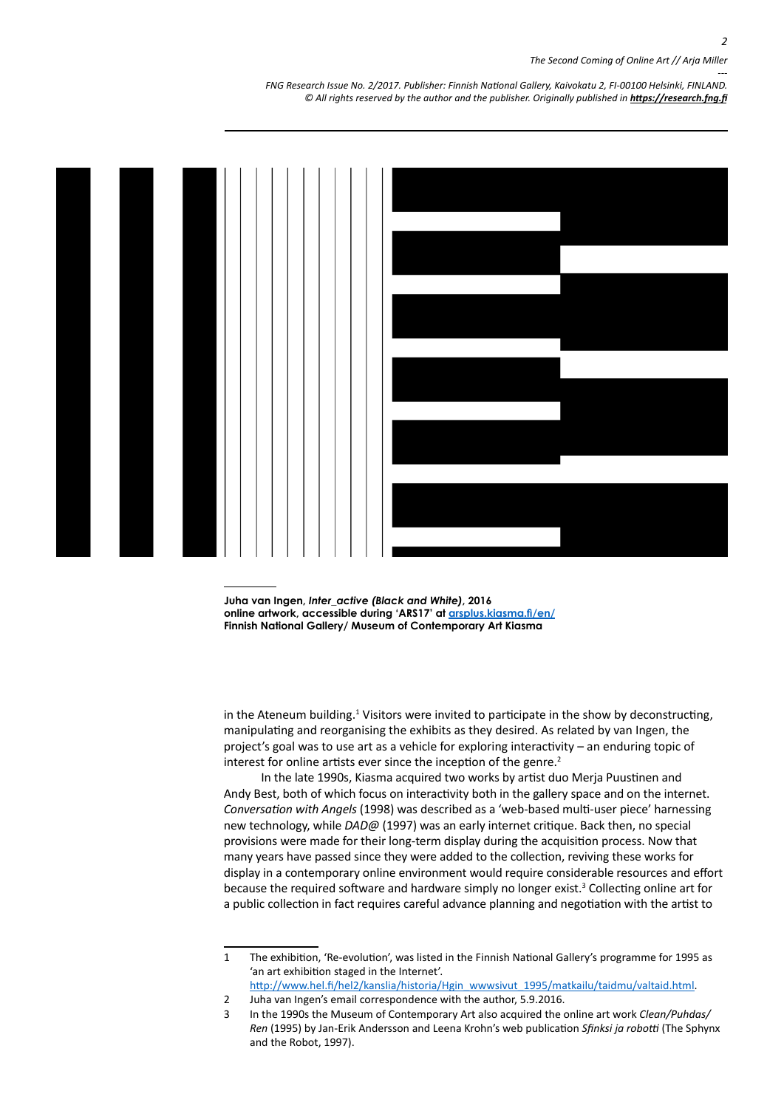*--- FNG Research Issue No. 2/2017. Publisher: Finnish National Gallery, Kaivokatu 2, FI-00100 Helsinki, FINLAND.* © All rights reserved by the author and the publisher. Originally published in **<https://research.fng.fi>** 



**Juha van Ingen,** *Inter\_active (Black and White)***, 2016 online artwork, accessible during 'ARS17' at arsplus.kiasma.fi/en/ Finnish National Gallery/ Museum of Contemporary Art Kiasma** 

in the Ateneum building.<sup>1</sup> Visitors were invited to participate in the show by deconstructing, manipulating and reorganising the exhibits as they desired. As related by van Ingen, the project's goal was to use art as a vehicle for exploring interactivity – an enduring topic of interest for online artists ever since the inception of the genre.<sup>2</sup>

In the late 1990s, Kiasma acquired two works by artist duo Merja Puustinen and Andy Best, both of which focus on interactivity both in the gallery space and on the internet. *Conversation with Angels* (1998) was described as a 'web-based multi-user piece' harnessing new technology, while *DAD@* (1997) was an early internet critique. Back then, no special provisions were made for their long-term display during the acquisition process. Now that many years have passed since they were added to the collection, reviving these works for display in a contemporary online environment would require considerable resources and effort because the required software and hardware simply no longer exist.<sup>3</sup> Collecting online art for a public collection in fact requires careful advance planning and negotiation with the artist to

<sup>1</sup> The exhibition, 'Re-evolution', was listed in the Finnish National Gallery's programme for 1995 as 'an art exhibition staged in the Internet'.

[http://www.hel.fi/hel2/kanslia/historia/Hgin\\_wwwsivut\\_1995/matkailu/taidmu/valtaid.html](http://www.hel.fi/hel2/kanslia/historia/Hgin_wwwsivut_1995/matkailu/taidmu/valtaid.html).

<sup>2</sup> Juha van Ingen's email correspondence with the author, 5.9.2016.

<sup>3</sup> In the 1990s the Museum of Contemporary Art also acquired the online art work *Clean/Puhdas/ Ren* (1995) by Jan-Erik Andersson and Leena Krohn's web publication *Sfinksi ja robotti* (The Sphynx and the Robot, 1997).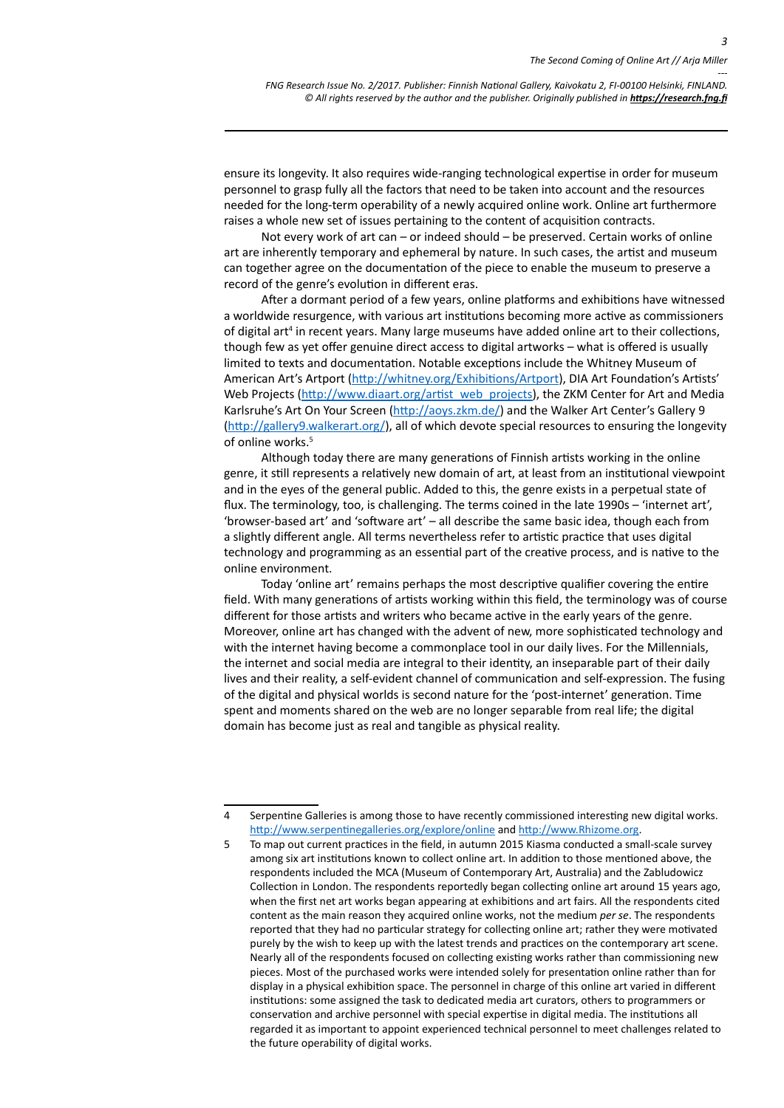*3*

*--- FNG Research Issue No. 2/2017. Publisher: Finnish National Gallery, Kaivokatu 2, FI-00100 Helsinki, FINLAND.* © All rights reserved by the author and the publisher. Originally published in **<https://research.fng.fi>** 

ensure its longevity. It also requires wide-ranging technological expertise in order for museum personnel to grasp fully all the factors that need to be taken into account and the resources needed for the long-term operability of a newly acquired online work. Online art furthermore raises a whole new set of issues pertaining to the content of acquisition contracts.

Not every work of art can – or indeed should – be preserved. Certain works of online art are inherently temporary and ephemeral by nature. In such cases, the artist and museum can together agree on the documentation of the piece to enable the museum to preserve a record of the genre's evolution in different eras.

After a dormant period of a few years, online platforms and exhibitions have witnessed a worldwide resurgence, with various art institutions becoming more active as commissioners of digital art<sup>4</sup> in recent years. Many large museums have added online art to their collections, though few as yet offer genuine direct access to digital artworks – what is offered is usually limited to texts and documentation. Notable exceptions include the Whitney Museum of American Art's Artport [\(http://whitney.org/Exhibitions/Artport](http://whitney.org/Exhibitions/Artport)), DIA Art Foundation's Artists' Web Projects [\(http://www.diaart.org/artist\\_web\\_projects](http://www.diaart.org/artist_web_projects)), the ZKM Center for Art and Media Karlsruhe's Art On Your Screen ([http://aoys.zkm.de/\)](http://aoys.zkm.de/) and the Walker Art Center's Gallery 9 [\(http://gallery9.walkerart.org/\)](http://gallery9.walkerart.org/), all of which devote special resources to ensuring the longevity of online works.5

Although today there are many generations of Finnish artists working in the online genre, it still represents a relatively new domain of art, at least from an institutional viewpoint and in the eyes of the general public. Added to this, the genre exists in a perpetual state of flux. The terminology, too, is challenging. The terms coined in the late 1990s – 'internet art', 'browser-based art' and 'software art' – all describe the same basic idea, though each from a slightly different angle. All terms nevertheless refer to artistic practice that uses digital technology and programming as an essential part of the creative process, and is native to the online environment.

Today 'online art' remains perhaps the most descriptive qualifier covering the entire field. With many generations of artists working within this field, the terminology was of course different for those artists and writers who became active in the early years of the genre. Moreover, online art has changed with the advent of new, more sophisticated technology and with the internet having become a commonplace tool in our daily lives. For the Millennials, the internet and social media are integral to their identity, an inseparable part of their daily lives and their reality, a self-evident channel of communication and self-expression. The fusing of the digital and physical worlds is second nature for the 'post-internet' generation. Time spent and moments shared on the web are no longer separable from real life; the digital domain has become just as real and tangible as physical reality.

<sup>4</sup> Serpentine Galleries is among those to have recently commissioned interesting new digital works. <http://www.serpentinegalleries.org/explore/online> and http://www.Rhizome.org.

<sup>5</sup> To map out current practices in the field, in autumn 2015 Kiasma conducted a small-scale survey among six art institutions known to collect online art. In addition to those mentioned above, the respondents included the MCA (Museum of Contemporary Art, Australia) and the Zabludowicz Collection in London. The respondents reportedly began collecting online art around 15 years ago, when the first net art works began appearing at exhibitions and art fairs. All the respondents cited content as the main reason they acquired online works, not the medium *per se*. The respondents reported that they had no particular strategy for collecting online art; rather they were motivated purely by the wish to keep up with the latest trends and practices on the contemporary art scene. Nearly all of the respondents focused on collecting existing works rather than commissioning new pieces. Most of the purchased works were intended solely for presentation online rather than for display in a physical exhibition space. The personnel in charge of this online art varied in different institutions: some assigned the task to dedicated media art curators, others to programmers or conservation and archive personnel with special expertise in digital media. The institutions all regarded it as important to appoint experienced technical personnel to meet challenges related to the future operability of digital works.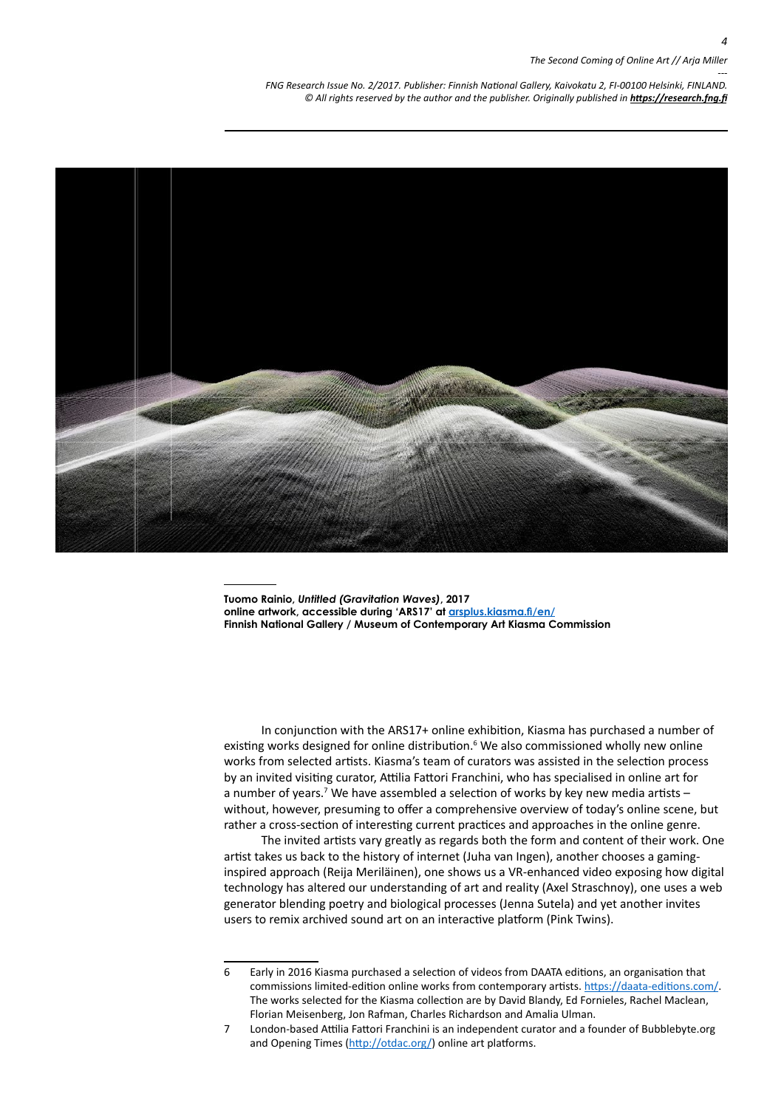*--- FNG Research Issue No. 2/2017. Publisher: Finnish National Gallery, Kaivokatu 2, FI-00100 Helsinki, FINLAND.* © All rights reserved by the author and the publisher. Originally published in **<https://research.fng.fi>** 



**Tuomo Rainio,** *Untitled (Gravitation Waves)***, 2017 online artwork, accessible during 'ARS17' at arsplus.kiasma.fi/en/ Finnish National Gallery / Museum of Contemporary Art Kiasma Commission**

In conjunction with the ARS17+ online exhibition, Kiasma has purchased a number of existing works designed for online distribution.<sup>6</sup> We also commissioned wholly new online works from selected artists. Kiasma's team of curators was assisted in the selection process by an invited visiting curator, Attilia Fattori Franchini, who has specialised in online art for a number of years.<sup>7</sup> We have assembled a selection of works by key new media artists  $$ without, however, presuming to offer a comprehensive overview of today's online scene, but rather a cross-section of interesting current practices and approaches in the online genre.

The invited artists vary greatly as regards both the form and content of their work. One artist takes us back to the history of internet (Juha van Ingen), another chooses a gaminginspired approach (Reija Meriläinen), one shows us a VR-enhanced video exposing how digital technology has altered our understanding of art and reality (Axel Straschnoy), one uses a web generator blending poetry and biological processes (Jenna Sutela) and yet another invites users to remix archived sound art on an interactive platform (Pink Twins).

<sup>6</sup> Early in 2016 Kiasma purchased a selection of videos from DAATA editions, an organisation that commissions limited-edition online works from contemporary artists. [https://daata-editions.com/.](https://daata-editions.com/) The works selected for the Kiasma collection are by David Blandy, Ed Fornieles, Rachel Maclean, Florian Meisenberg, Jon Rafman, Charles Richardson and Amalia Ulman.

<sup>7</sup> London-based Attilia Fattori Franchini is an independent curator and a founder of Bubblebyte.org and Opening Times [\(http://otdac.org/\)](http://otdac.org/) online art platforms.